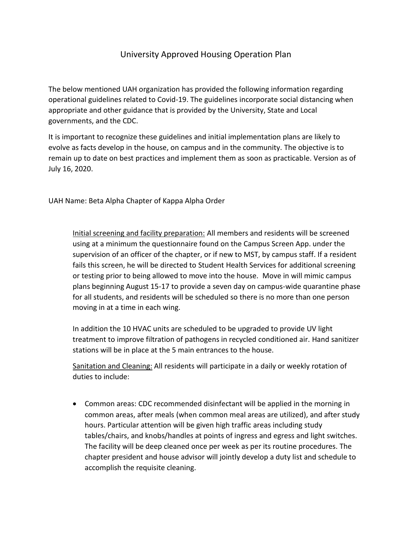# University Approved Housing Operation Plan

The below mentioned UAH organization has provided the following information regarding operational guidelines related to Covid-19. The guidelines incorporate social distancing when appropriate and other guidance that is provided by the University, State and Local governments, and the CDC.

It is important to recognize these guidelines and initial implementation plans are likely to evolve as facts develop in the house, on campus and in the community. The objective is to remain up to date on best practices and implement them as soon as practicable. Version as of July 16, 2020.

UAH Name: Beta Alpha Chapter of Kappa Alpha Order

Initial screening and facility preparation: All members and residents will be screened using at a minimum the questionnaire found on the Campus Screen App. under the supervision of an officer of the chapter, or if new to MST, by campus staff. If a resident fails this screen, he will be directed to Student Health Services for additional screening or testing prior to being allowed to move into the house. Move in will mimic campus plans beginning August 15-17 to provide a seven day on campus-wide quarantine phase for all students, and residents will be scheduled so there is no more than one person moving in at a time in each wing.

In addition the 10 HVAC units are scheduled to be upgraded to provide UV light treatment to improve filtration of pathogens in recycled conditioned air. Hand sanitizer stations will be in place at the 5 main entrances to the house.

Sanitation and Cleaning: All residents will participate in a daily or weekly rotation of duties to include:

 Common areas: CDC recommended disinfectant will be applied in the morning in common areas, after meals (when common meal areas are utilized), and after study hours. Particular attention will be given high traffic areas including study tables/chairs, and knobs/handles at points of ingress and egress and light switches. The facility will be deep cleaned once per week as per its routine procedures. The chapter president and house advisor will jointly develop a duty list and schedule to accomplish the requisite cleaning.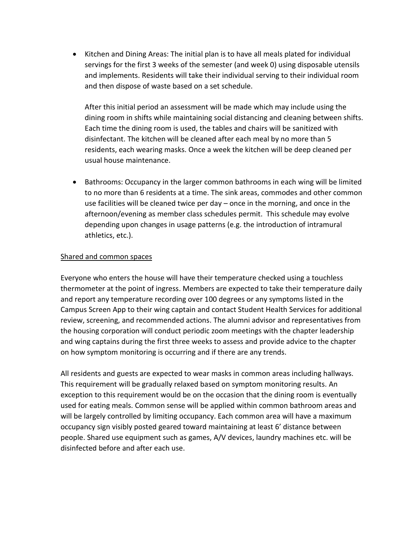Kitchen and Dining Areas: The initial plan is to have all meals plated for individual servings for the first 3 weeks of the semester (and week 0) using disposable utensils and implements. Residents will take their individual serving to their individual room and then dispose of waste based on a set schedule.

After this initial period an assessment will be made which may include using the dining room in shifts while maintaining social distancing and cleaning between shifts. Each time the dining room is used, the tables and chairs will be sanitized with disinfectant. The kitchen will be cleaned after each meal by no more than 5 residents, each wearing masks. Once a week the kitchen will be deep cleaned per usual house maintenance.

 Bathrooms: Occupancy in the larger common bathrooms in each wing will be limited to no more than 6 residents at a time. The sink areas, commodes and other common use facilities will be cleaned twice per day – once in the morning, and once in the afternoon/evening as member class schedules permit. This schedule may evolve depending upon changes in usage patterns (e.g. the introduction of intramural athletics, etc.).

### Shared and common spaces

Everyone who enters the house will have their temperature checked using a touchless thermometer at the point of ingress. Members are expected to take their temperature daily and report any temperature recording over 100 degrees or any symptoms listed in the Campus Screen App to their wing captain and contact Student Health Services for additional review, screening, and recommended actions. The alumni advisor and representatives from the housing corporation will conduct periodic zoom meetings with the chapter leadership and wing captains during the first three weeks to assess and provide advice to the chapter on how symptom monitoring is occurring and if there are any trends.

All residents and guests are expected to wear masks in common areas including hallways. This requirement will be gradually relaxed based on symptom monitoring results. An exception to this requirement would be on the occasion that the dining room is eventually used for eating meals. Common sense will be applied within common bathroom areas and will be largely controlled by limiting occupancy. Each common area will have a maximum occupancy sign visibly posted geared toward maintaining at least 6' distance between people. Shared use equipment such as games, A/V devices, laundry machines etc. will be disinfected before and after each use.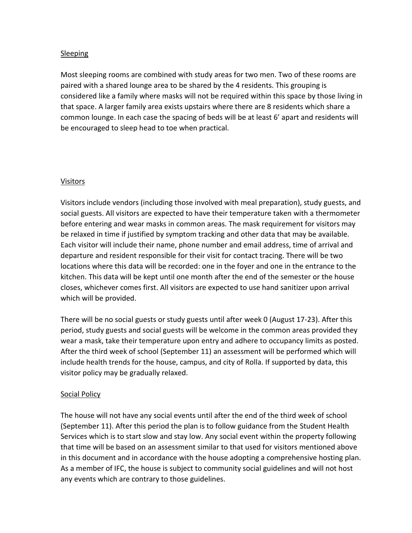## Sleeping

Most sleeping rooms are combined with study areas for two men. Two of these rooms are paired with a shared lounge area to be shared by the 4 residents. This grouping is considered like a family where masks will not be required within this space by those living in that space. A larger family area exists upstairs where there are 8 residents which share a common lounge. In each case the spacing of beds will be at least 6' apart and residents will be encouraged to sleep head to toe when practical.

# Visitors

Visitors include vendors (including those involved with meal preparation), study guests, and social guests. All visitors are expected to have their temperature taken with a thermometer before entering and wear masks in common areas. The mask requirement for visitors may be relaxed in time if justified by symptom tracking and other data that may be available. Each visitor will include their name, phone number and email address, time of arrival and departure and resident responsible for their visit for contact tracing. There will be two locations where this data will be recorded: one in the foyer and one in the entrance to the kitchen. This data will be kept until one month after the end of the semester or the house closes, whichever comes first. All visitors are expected to use hand sanitizer upon arrival which will be provided.

There will be no social guests or study guests until after week 0 (August 17-23). After this period, study guests and social guests will be welcome in the common areas provided they wear a mask, take their temperature upon entry and adhere to occupancy limits as posted. After the third week of school (September 11) an assessment will be performed which will include health trends for the house, campus, and city of Rolla. If supported by data, this visitor policy may be gradually relaxed.

# Social Policy

The house will not have any social events until after the end of the third week of school (September 11). After this period the plan is to follow guidance from the Student Health Services which is to start slow and stay low. Any social event within the property following that time will be based on an assessment similar to that used for visitors mentioned above in this document and in accordance with the house adopting a comprehensive hosting plan. As a member of IFC, the house is subject to community social guidelines and will not host any events which are contrary to those guidelines.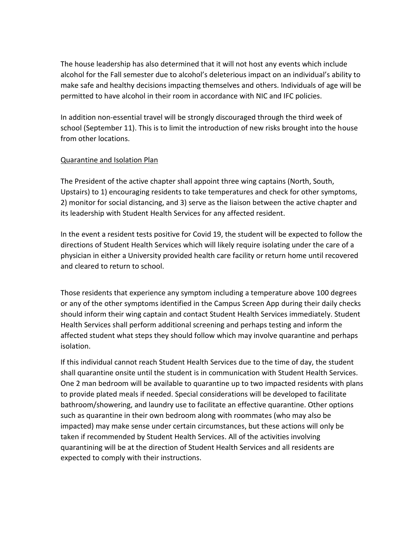The house leadership has also determined that it will not host any events which include alcohol for the Fall semester due to alcohol's deleterious impact on an individual's ability to make safe and healthy decisions impacting themselves and others. Individuals of age will be permitted to have alcohol in their room in accordance with NIC and IFC policies.

In addition non-essential travel will be strongly discouraged through the third week of school (September 11). This is to limit the introduction of new risks brought into the house from other locations.

### Quarantine and Isolation Plan

The President of the active chapter shall appoint three wing captains (North, South, Upstairs) to 1) encouraging residents to take temperatures and check for other symptoms, 2) monitor for social distancing, and 3) serve as the liaison between the active chapter and its leadership with Student Health Services for any affected resident.

In the event a resident tests positive for Covid 19, the student will be expected to follow the directions of Student Health Services which will likely require isolating under the care of a physician in either a University provided health care facility or return home until recovered and cleared to return to school.

Those residents that experience any symptom including a temperature above 100 degrees or any of the other symptoms identified in the Campus Screen App during their daily checks should inform their wing captain and contact Student Health Services immediately. Student Health Services shall perform additional screening and perhaps testing and inform the affected student what steps they should follow which may involve quarantine and perhaps isolation.

If this individual cannot reach Student Health Services due to the time of day, the student shall quarantine onsite until the student is in communication with Student Health Services. One 2 man bedroom will be available to quarantine up to two impacted residents with plans to provide plated meals if needed. Special considerations will be developed to facilitate bathroom/showering, and laundry use to facilitate an effective quarantine. Other options such as quarantine in their own bedroom along with roommates (who may also be impacted) may make sense under certain circumstances, but these actions will only be taken if recommended by Student Health Services. All of the activities involving quarantining will be at the direction of Student Health Services and all residents are expected to comply with their instructions.